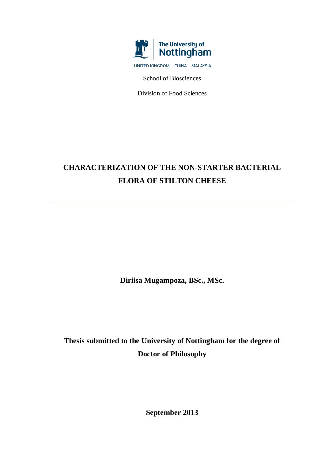

School of Biosciences

Division of Food Sciences

## **CHARACTERIZATION OF THE NON-STARTER BACTERIAL FLORA OF STILTON CHEESE**

**Diriisa Mugampoza, BSc., MSc.**

**Thesis submitted to the University of Nottingham for the degree of Doctor of Philosophy**

**September 2013**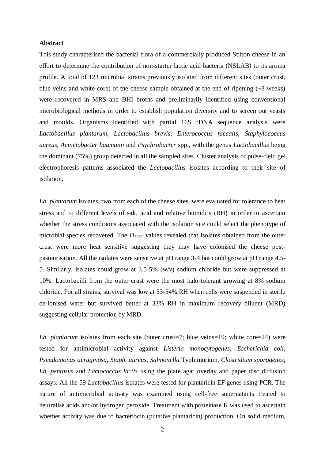## **Abstract**

This study characterised the bacterial flora of a commercially produced Stilton cheese in an effort to determine the contribution of non-starter lactic acid bacteria (NSLAB) to its aroma profile. A total of 123 microbial strains previously isolated from different sites (outer crust, blue veins and white core) of the cheese sample obtained at the end of ripening  $(\sim 8$  weeks) were recovered in MRS and BHI broths and preliminarily identified using conventional microbiological methods in order to establish population diversity and to screen out yeasts and moulds. Organisms identified with partial 16S rDNA sequence analysis were *Lactobacillus plantarum*, *Lactobacillus brevis*, *Enterococcus faecalis*, *Staphylococcus aureus*, *Acinetobacter baumanii* and *Psychrobacter* spp., with the genus *Lactobacillus* being the dominant (75%) group detected in all the sampled sites. Cluster analysis of pulse-field gel electrophoresis patterns associated the *Lactobacillus* isolates according to their site of isolation.

*Lb. plantarum* isolates, two from each of the cheese sites, were evaluated for tolerance to heat stress and to different levels of salt, acid and relative humidity (RH) in order to ascertain whether the stress conditions associated with the isolation site could select the phenotype of microbial species recovered. The  $D_{72^{\circ}C}$  values revealed that isolates obtained from the outer crust were more heat sensitive suggesting they may have colonised the cheese postpasteurisation. All the isolates were sensitive at pH range 3-4 but could grow at pH range 4.5- 5. Similarly, isolates could grow at 3.5-5% (w/v) sodium chloride but were suppressed at 10%. Lactobacilli from the outer crust were the most halo-tolerant growing at 8% sodium chloride. For all strains, survival was low at 33-54% RH when cells were suspended in sterile de-ionised water but survived better at 33% RH in maximum recovery diluent (MRD) suggesting cellular protection by MRD.

*Lb. plantarum* isolates from each site (outer crust=7; blue veins=19; white core=24) were tested for antimicrobial activity against *Listeria monocytogenes*, *Escherichia coli*, *Pseudomonas aeruginosa*, *Staph. aureus*, *Salmonella* Typhimurium, *Clostridium sporogenes*, *Lb. pentosus* and *Lactococcus lactis* using the plate agar overlay and paper disc diffusion assays. All the 59 *Lactobacillus* isolates were tested for plantaricin EF genes using PCR. The nature of antimicrobial activity was examined using cell-free supernatants treated to neutralise acids and/or hydrogen peroxide. Treatment with proteinase K was used to ascertain whether activity was due to bacteriocin (putative plantaricin) production. On solid medium,